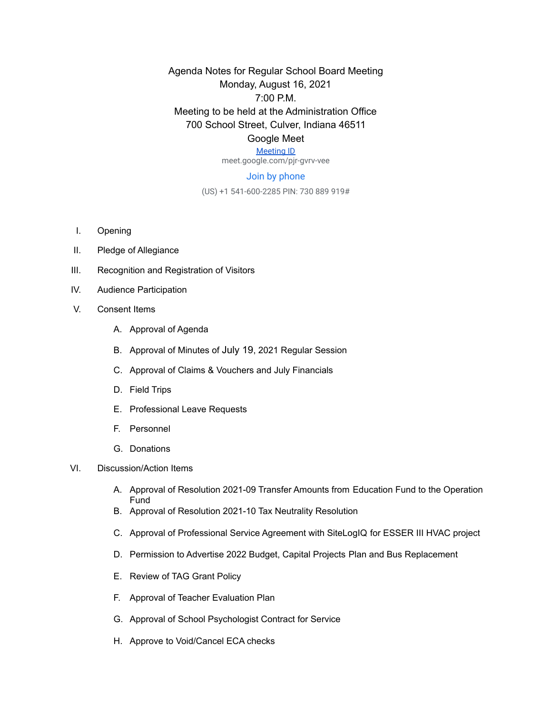Agenda Notes for Regular School Board Meeting Monday, August 16, 2021 7:00 P.M. Meeting to be held at the Administration Office 700 School Street, Culver, Indiana 46511 Google Meet

## [Meeting ID](https://meet.google.com/pjr-gvrv-vee)

meet.google.com/pjr-gvrv-vee

## Join by phone

(US) +1 541-600-2285 PIN: 730 889 919#

- I. Opening
- II. Pledge of Allegiance
- III. Recognition and Registration of Visitors
- IV. Audience Participation
- V. Consent Items
	- A. Approval of Agenda
	- B. Approval of Minutes of July 19, 2021 Regular Session
	- C. Approval of Claims & Vouchers and July Financials
	- D. Field Trips
	- E. Professional Leave Requests
	- F. Personnel
	- G. Donations
- VI. Discussion/Action Items
	- A. Approval of Resolution 2021-09 Transfer Amounts from Education Fund to the Operation Fund
	- B. Approval of Resolution 2021-10 Tax Neutrality Resolution
	- C. Approval of Professional Service Agreement with SiteLogIQ for ESSER III HVAC project
	- D. Permission to Advertise 2022 Budget, Capital Projects Plan and Bus Replacement
	- E. Review of TAG Grant Policy
	- F. Approval of Teacher Evaluation Plan
	- G. Approval of School Psychologist Contract for Service
	- H. Approve to Void/Cancel ECA checks